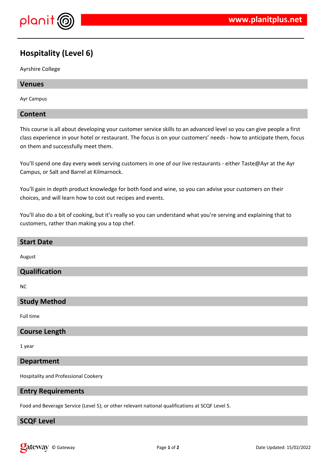

# **Hospitality (Level 6)**

Ayrshire College

### **Venues**

Ayr Campus

### **Content**

This course is all about developing your customer service skills to an advanced level so you can give people a first class experience in your hotel or restaurant. The focus is on your customers' needs - how to anticipate them, focus on them and successfully meet them.

You'll spend one day every week serving customers in one of our live restaurants - either Taste@Ayr at the Ayr Campus, or Salt and Barrel at Kilmarnock.

You'll gain in depth product knowledge for both food and wine, so you can advise your customers on their choices, and will learn how to cost out recipes and events.

You'll also do a bit of cooking, but it's really so you can understand what you're serving and explaining that to customers, rather than making you a top chef.

| <b>Start Date</b>    |
|----------------------|
| August               |
| Qualification        |
| NC.                  |
| <b>Study Method</b>  |
| Full time            |
| <b>Course Length</b> |

1 year

#### **Department**

Hospitality and Professional Cookery

#### **Entry Requirements**

Food and Beverage Service (Level 5); or other relevant national qualifications at SCQF Level 5.

### **SCQF Level**